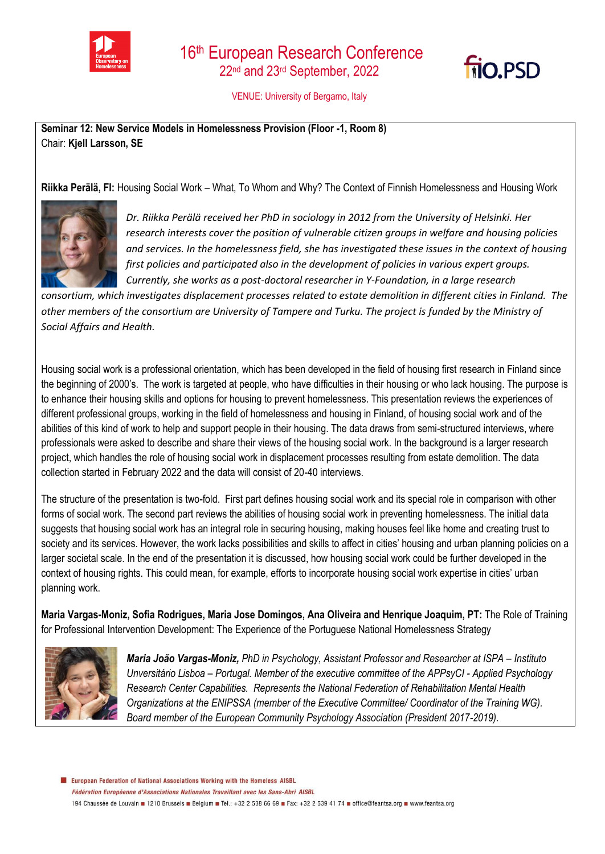



VENUE: University of Bergamo, Italy

**Seminar 12: New Service Models in Homelessness Provision (Floor -1, Room 8)**  Chair: **Kjell Larsson, SE**

**Riikka Perälä, FI:** Housing Social Work – What, To Whom and Why? The Context of Finnish Homelessness and Housing Work



*Dr. Riikka Perälä received her PhD in sociology in 2012 from the University of Helsinki. Her research interests cover the position of vulnerable citizen groups in welfare and housing policies and services. In the homelessness field, she has investigated these issues in the context of housing first policies and participated also in the development of policies in various expert groups. Currently, she works as a post-doctoral researcher in Y-Foundation, in a large research* 

*consortium, which investigates displacement processes related to estate demolition in different cities in Finland. The other members of the consortium are University of Tampere and Turku. The project is funded by the Ministry of Social Affairs and Health.*

Housing social work is a professional orientation, which has been developed in the field of housing first research in Finland since the beginning of 2000's. The work is targeted at people, who have difficulties in their housing or who lack housing. The purpose is to enhance their housing skills and options for housing to prevent homelessness. This presentation reviews the experiences of different professional groups, working in the field of homelessness and housing in Finland, of housing social work and of the abilities of this kind of work to help and support people in their housing. The data draws from semi-structured interviews, where professionals were asked to describe and share their views of the housing social work. In the background is a larger research project, which handles the role of housing social work in displacement processes resulting from estate demolition. The data collection started in February 2022 and the data will consist of 20-40 interviews.

The structure of the presentation is two-fold. First part defines housing social work and its special role in comparison with other forms of social work. The second part reviews the abilities of housing social work in preventing homelessness. The initial data suggests that housing social work has an integral role in securing housing, making houses feel like home and creating trust to society and its services. However, the work lacks possibilities and skills to affect in cities' housing and urban planning policies on a larger societal scale. In the end of the presentation it is discussed, how housing social work could be further developed in the context of housing rights. This could mean, for example, efforts to incorporate housing social work expertise in cities' urban planning work.

**Maria Vargas-Moniz, Sofia Rodrigues, Maria Jose Domingos, Ana Oliveira and Henrique Joaquim, PT:** The Role of Training for Professional Intervention Development: The Experience of the Portuguese National Homelessness Strategy



*Maria João Vargas-Moniz, PhD in Psychology, Assistant Professor and Researcher at ISPA – Instituto Unversitário Lisboa – Portugal. Member of the executive committee of the APPsyCI - Applied Psychology Research Center Capabilities. Represents the National Federation of Rehabilitation Mental Health Organizations at the ENIPSSA (member of the Executive Committee/ Coordinator of the Training WG). Board member of the European Community Psychology Association (President 2017-2019).*

E European Federation of National Associations Working with the Homeless AISBL Fédération Européenne d'Associations Nationales Travaillant avec les Sans-Abri AISBL 194 Chaussée de Louvain 1210 Brussels Belgium B Tel.: +32 2 538 66 69 B Fax: +32 2 539 41 74 B office@feantsa.org B www.feantsa.org